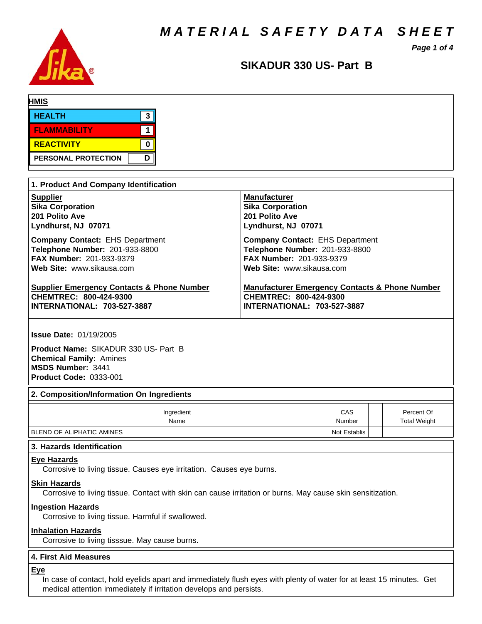*MATERIAL SAFETY DATA SHEET*



# *Page 1 of 4*

# **SIKADUR330US-Part B**

| <b>HMIS</b>                |   |  |  |
|----------------------------|---|--|--|
| <b>HEALTH</b>              |   |  |  |
| <b>FLAMMABILITY</b>        |   |  |  |
| REACTIVITY                 |   |  |  |
| <b>PERSONAL PROTECTION</b> | D |  |  |

| 1. Product And Company Identification                 |                                                           |  |  |  |  |  |
|-------------------------------------------------------|-----------------------------------------------------------|--|--|--|--|--|
| <b>Supplier</b>                                       | <b>Manufacturer</b>                                       |  |  |  |  |  |
| <b>Sika Corporation</b>                               | <b>Sika Corporation</b>                                   |  |  |  |  |  |
| 201 Polito Ave                                        | 201 Polito Ave                                            |  |  |  |  |  |
| Lyndhurst, NJ 07071                                   | Lyndhurst, NJ 07071                                       |  |  |  |  |  |
| <b>Company Contact: EHS Department</b>                | <b>Company Contact: EHS Department</b>                    |  |  |  |  |  |
| Telephone Number: 201-933-8800                        | Telephone Number: 201-933-8800                            |  |  |  |  |  |
| <b>FAX Number: 201-933-9379</b>                       | FAX Number: 201-933-9379                                  |  |  |  |  |  |
| Web Site: www.sikausa.com                             | Web Site: www.sikausa.com                                 |  |  |  |  |  |
| <b>Supplier Emergency Contacts &amp; Phone Number</b> | <b>Manufacturer Emergency Contacts &amp; Phone Number</b> |  |  |  |  |  |
| CHEMTREC: 800-424-9300                                | CHEMTREC: 800-424-9300                                    |  |  |  |  |  |
| <b>INTERNATIONAL: 703-527-3887</b>                    | <b>INTERNATIONAL: 703-527-3887</b>                        |  |  |  |  |  |

**Issue Date:** 01/19/2005

**Product Name: SIKADUR 330 US- Part B Chemical Family:** Amines **MSDS Number:** 3441 **Product Code:** 0333-001

### **2. Composition/Information On Ingredients**

| Ingredient                 | CAS          | Percent Of          |
|----------------------------|--------------|---------------------|
| Name                       | Number       | <b>Total Weight</b> |
| BLEND OF ALIPHATIC AMINES_ | Not Establis |                     |

### **3. Hazards Identification**

# **Eye Hazards**

Corrosive to living tissue. Causes eye irritation. Causes eye burns.

### **Skin Hazards**

Corrosive to living tissue. Contact with skin can cause irritation or burns. May cause skin sensitization.

### **Ingestion Hazards**

Corrosive to living tissue. Harmful if swallowed.

### **Inhalation Hazards**

Corrosive to living tisssue. May cause burns.

# **4.First AidMeasures**

# **Eye**

In case of contact, hold eyelids apart and immediately flush eyes with plenty of water for at least 15 minutes. Get medical attention immediately if irritation develops and persists.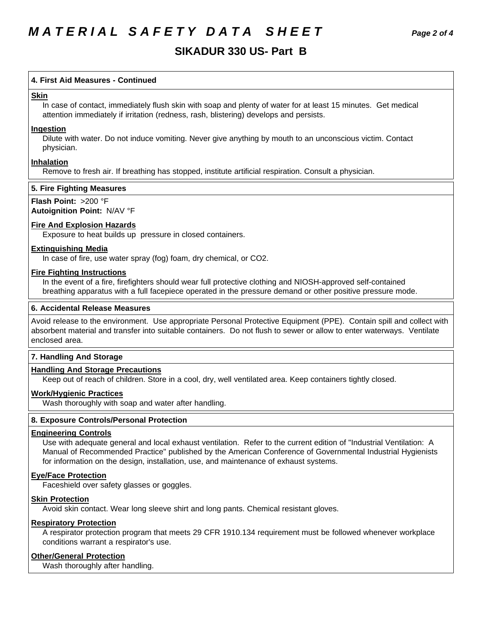# **SIKADUR330US-Part B**

# **4.First AidMeasures -Continued**

### **Skin**

In case of contact, immediately flush skin with soap and plenty of water for at least 15 minutes. Get medical attention immediately if irritation (redness, rash, blistering) develops and persists.

### **Ingestion**

Dilute with water. Do not induce vomiting. Never give anything by mouth to an unconscious victim. Contact physician.

# **Inhalation**

Remove to fresh air. If breathing has stopped, institute artificial respiration. Consult a physician.

# **5. Fire Fighting Measures**

# **Flash Point:** >200 °F

# **Autoignition Point:** N/AV°F

# **Fire And Explosion Hazards**

Exposure to heat builds up pressure in closed containers.

# **Extinguishing Media**

In case of fire, use water spray (fog) foam, dry chemical, or CO2.

# **Fire Fighting Instructions**

In the event of a fire, firefighters should wear full protective clothing and NIOSH-approved self-contained breathing apparatus with a full facepiece operated in the pressure demand or other positive pressure mode.

### **6. Accidental Release Measures**

Avoid release to the environment. Use appropriate Personal Protective Equipment (PPE). Contain spill and collect with absorbent material and transfer into suitable containers. Do not flush to sewer or allow to enter waterways. Ventilate enclosed area.

# **7. Handling And Storage**

# **Handling And Storage Precautions**

Keep out of reach of children. Store in a cool, dry, well ventilated area. Keep containers tightly closed.

# **Work/Hygienic Practices**

Wash thoroughly with soap and water after handling.

# **8. Exposure Controls/Personal Protection**

# **Engineering Controls**

Use with adequate general and local exhaust ventilation. Refer to the current edition of "Industrial Ventilation: A Manual of Recommended Practice" published by the American Conference of Governmental Industrial Hygienists for information on the design, installation, use, and maintenance of exhaust systems.

# **Eye/Face Protection**

Faceshield over safety glasses or goggles.

### **Skin Protection**

Avoid skin contact. Wear long sleeve shirt and long pants. Chemical resistant gloves.

# **Respiratory Protection**

A respirator protection program that meets 29 CFR 1910.134 requirement must be followed whenever workplace conditions warrant a respirator's use.

# **Other/General Protection**

Wash thoroughly after handling.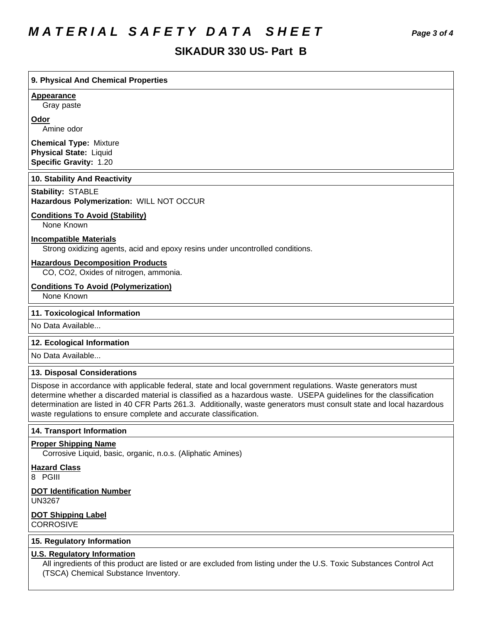# *MATERIAL SAFETY DATA SHEET Page 3 of 4*

# **SIKADUR330US-Part B**

# **9. PhysicalAnd Chemical Properties**

### **Appearance**

Gray paste

### **Odor**

Amine odor

**Chemical Type:** Mixture **Physical State:** Liquid **Specific Gravity:** 1.20

### **10. Stability And Reactivity**

**Stability: STABLE** 

# **Hazardous Polymerization:** WILL NOT OCCUR

# **Conditions To Avoid (Stability)**

None Known

# **Incompatible Materials**

Strong oxidizing agents, acid and epoxy resins under uncontrolled conditions.

#### **Hazardous Decomposition Products**

CO, CO2, Oxides of nitrogen, ammonia.

### **Conditions To Avoid (Polymerization)**

None Known

### **11. Toxicological Information**

No Data Available...

### **12. Ecological Information**

No Data Available...

# **13. Disposal Considerations**

Dispose in accordance with applicable federal, state and local government regulations. Waste generators must determine whether a discarded material is classified as a hazardous waste. USEPA guidelines for the classification determination are listed in 40 CFR Parts 261.3. Additionally, waste generators must consult state and local hazardous waste regulations to ensure complete and accurate classification.

### **14. Transport Information**

### **Proper Shipping Name**

Corrosive Liquid, basic, organic, n.o.s. (Aliphatic Amines)

**Hazard Class**

8 PGIII

#### **DOT Identification Number** UN3267

**DOT Shipping Label CORROSIVE** 

### **15. Regulatory Information**

### **U.S. Regulatory Information**

All ingredients of this product are listed or are excluded from listing under the U.S. Toxic Substances Control Act (TSCA) Chemical Substance Inventory.